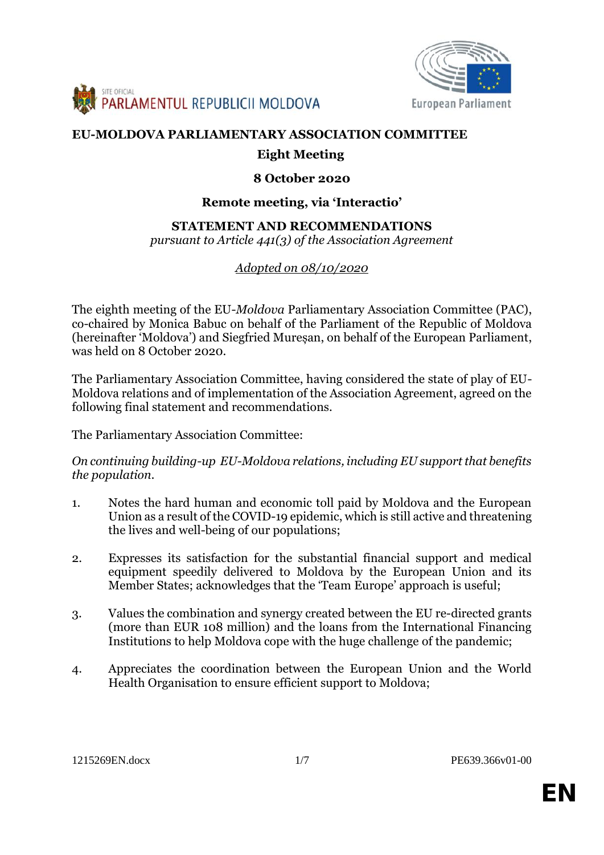



# **EU-MOLDOVA PARLIAMENTARY ASSOCIATION COMMITTEE**

## **Eight Meeting**

### **8 October 2020**

#### **Remote meeting, via 'Interactio'**

#### **STATEMENT AND RECOMMENDATIONS**

*pursuant to Article 441(3) of the Association Agreement*

### *Adopted on 08/10/2020*

The eighth meeting of the EU-*Moldova* Parliamentary Association Committee (PAC), co-chaired by Monica Babuc on behalf of the Parliament of the Republic of Moldova (hereinafter 'Moldova') and Siegfried Mureșan, on behalf of the European Parliament, was held on 8 October 2020.

The Parliamentary Association Committee, having considered the state of play of EU- Moldova relations and of implementation of the Association Agreement, agreed on the following final statement and recommendations.

The Parliamentary Association Committee:

*On continuing building-up EU-Moldova relations, including EU support that benefits the population.*

- 1. Notes the hard human and economic toll paid by Moldova and the European Union as a result of the COVID-19 epidemic, which is still active and threatening the lives and well-being of our populations;
- 2. Expresses its satisfaction for the substantial financial support and medical equipment speedily delivered to Moldova by the European Union and its Member States; acknowledges that the 'Team Europe' approach is useful;
- 3. Values the combination and synergy created between the EU re-directed grants (more than EUR 108 million) and the loans from the International Financing Institutions to help Moldova cope with the huge challenge of the pandemic;
- 4. Appreciates the coordination between the European Union and the World Health Organisation to ensure efficient support to Moldova;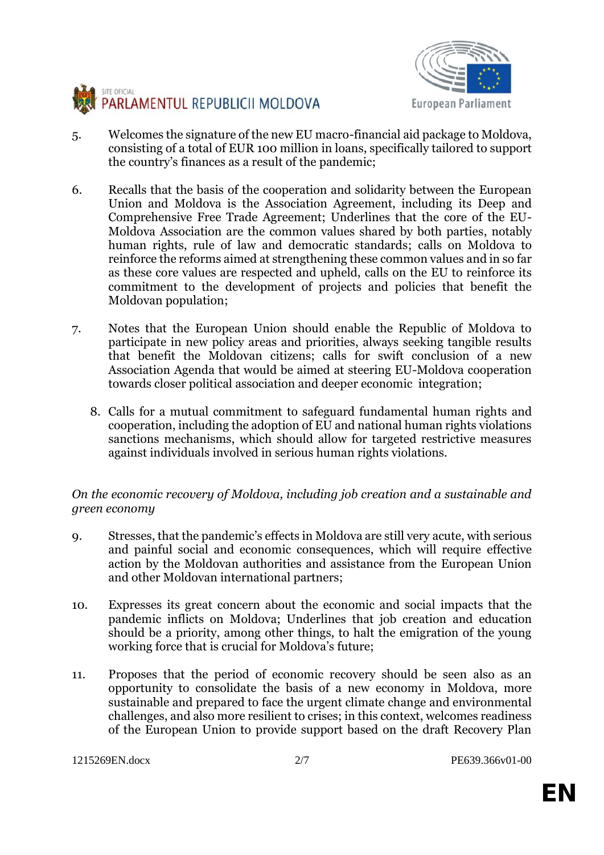



- 5. Welcomes the signature of the new EU macro-financial aid package to Moldova, consisting of a total of EUR 100 million in loans, specifically tailored to support the country's finances as a result of the pandemic;
- 6. Recalls that the basis of the cooperation and solidarity between the European Union and Moldova is the Association Agreement, including its Deep and Comprehensive Free Trade Agreement; Underlines that the core of the EU- Moldova Association are the common values shared by both parties, notably human rights, rule of law and democratic standards; calls on Moldova to reinforce the reforms aimed at strengthening these common values and in so far as these core values are respected and upheld, calls on the EU to reinforce its commitment to the development of projects and policies that benefit the Moldovan population;
- 7. Notes that the European Union should enable the Republic of Moldova to participate in new policy areas and priorities, always seeking tangible results that benefit the Moldovan citizens; calls for swift conclusion of a new Association Agenda that would be aimed at steering EU-Moldova cooperation towards closer political association and deeper economic integration;
	- 8. Calls for a mutual commitment to safeguard fundamental human rights and cooperation, including the adoption of EU and national human rights violations sanctions mechanisms, which should allow for targeted restrictive measures against individuals involved in serious human rights violations.

### *On the economic recovery of Moldova, including job creation and a sustainable and green economy*

- 9. Stresses, that the pandemic's effects in Moldova are still very acute, with serious and painful social and economic consequences, which will require effective action by the Moldovan authorities and assistance from the European Union and other Moldovan international partners;
- 10. Expresses its great concern about the economic and social impacts that the pandemic inflicts on Moldova; Underlines that job creation and education should be a priority, among other things, to halt the emigration of the young working force that is crucial for Moldova's future;
- 11. Proposes that the period of economic recovery should be seen also as an opportunity to consolidate the basis of a new economy in Moldova, more sustainable and prepared to face the urgent climate change and environmental challenges, and also more resilient to crises; in this context, welcomes readiness of the European Union to provide support based on the draft Recovery Plan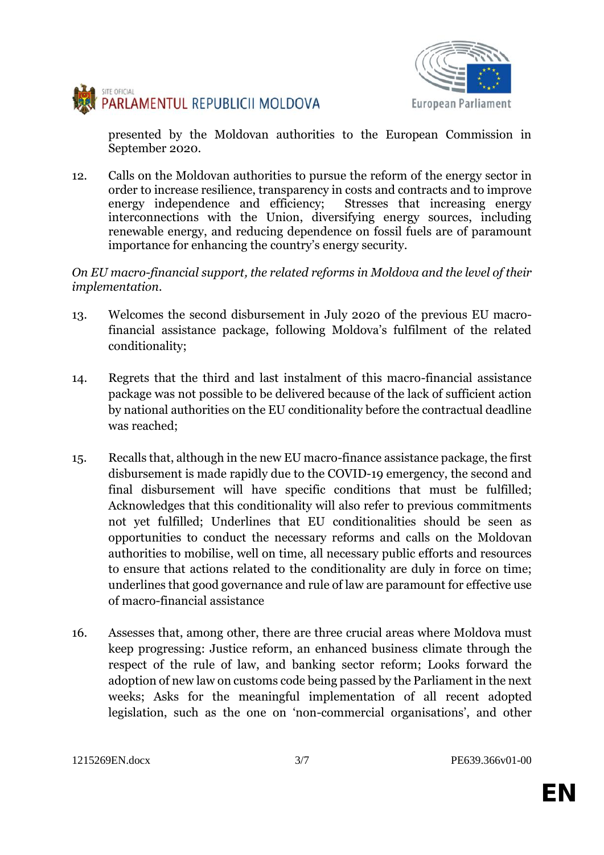



presented by the Moldovan authorities to the European Commission in September 2020.

12. Calls on the Moldovan authorities to pursue the reform of the energy sector in order to increase resilience, transparency in costs and contracts and to improve energy independence and efficiency; Stresses that increasing energy interconnections with the Union, diversifying energy sources, including renewable energy, and reducing dependence on fossil fuels are of paramount importance for enhancing the country's energy security.

*On EU macro-financial support, the related reforms in Moldova and the level of their implementation.*

- 13. Welcomes the second disbursement in July 2020 of the previous EU macrofinancial assistance package, following Moldova's fulfilment of the related conditionality;
- 14. Regrets that the third and last instalment of this macro-financial assistance package was not possible to be delivered because of the lack of sufficient action by national authorities on the EU conditionality before the contractual deadline was reached;
- 15. Recalls that, although in the new EU macro-finance assistance package, the first disbursement is made rapidly due to the COVID-19 emergency, the second and final disbursement will have specific conditions that must be fulfilled; Acknowledges that this conditionality will also refer to previous commitments not yet fulfilled; Underlines that EU conditionalities should be seen as opportunities to conduct the necessary reforms and calls on the Moldovan authorities to mobilise, well on time, all necessary public efforts and resources to ensure that actions related to the conditionality are duly in force on time; underlines that good governance and rule of law are paramount for effective use of macro-financial assistance
- 16. Assesses that, among other, there are three crucial areas where Moldova must keep progressing: Justice reform, an enhanced business climate through the respect of the rule of law, and banking sector reform; Looks forward the adoption of new law on customs code being passed by the Parliament in the next weeks; Asks for the meaningful implementation of all recent adopted legislation, such as the one on 'non-commercial organisations', and other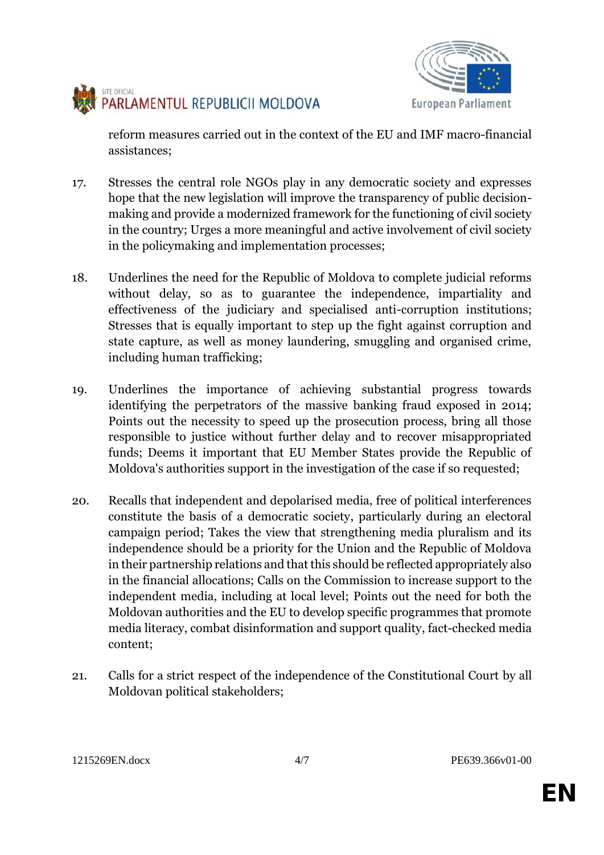



reform measures carried out in the context of the EU and IMF macro-financial assistances;

- 17. Stresses the central role NGOs play in any democratic society and expresses hope that the new legislation will improve the transparency of public decision making and provide a modernized framework for the functioning of civil society in the country; Urges a more meaningful and active involvement of civil society in the policymaking and implementation processes;
- 18. Underlines the need for the Republic of Moldova to complete judicial reforms without delay, so as to guarantee the independence, impartiality and effectiveness of the judiciary and specialised anti-corruption institutions; Stresses that is equally important to step up the fight against corruption and state capture, as well as money laundering, smuggling and organised crime, including human trafficking;
- 19. Underlines the importance of achieving substantial progress towards identifying the perpetrators of the massive banking fraud exposed in 2014; Points out the necessity to speed up the prosecution process, bring all those responsible to justice without further delay and to recover misappropriated funds; Deems it important that EU Member States provide the Republic of Moldova's authorities support in the investigation of the case if so requested;
- 20. Recalls that independent and depolarised media, free of political interferences constitute the basis of a democratic society, particularly during an electoral campaign period; Takes the view that strengthening media pluralism and its independence should be a priority for the Union and the Republic of Moldova in their partnership relations and that this should be reflected appropriately also in the financial allocations; Calls on the Commission to increase support to the independent media, including at local level; Points out the need for both the Moldovan authorities and the EU to develop specific programmes that promote media literacy, combat disinformation and support quality, fact-checked media content;
- 21. Calls for a strict respect of the independence of the Constitutional Court by all Moldovan political stakeholders;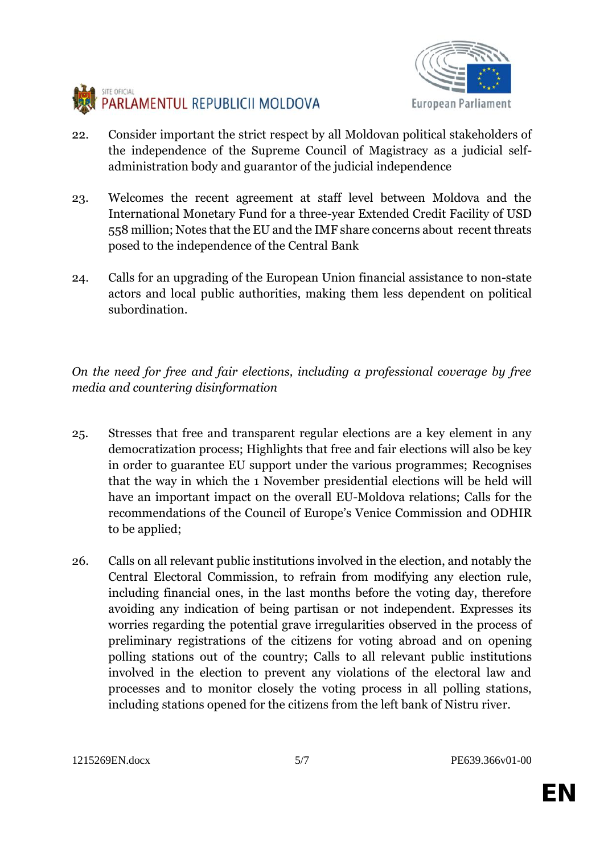



- 22. Consider important the strict respect by all Moldovan political stakeholders of the independence of the Supreme Council of Magistracy as a judicial self administration body and guarantor of the judicial independence
- 23. Welcomes the recent agreement at staff level between Moldova and the International Monetary Fund for a three-year Extended Credit Facility of USD 558 million; Notes that the EU and the IMF share concerns about recent threats posed to the independence of the Central Bank
- 24. Calls for an upgrading of the European Union financial assistance to non-state actors and local public authorities, making them less dependent on political subordination.

*On the need for free and fair elections, including a professional coverage by free media and countering disinformation*

- 25. Stresses that free and transparent regular elections are a key element in any democratization process; Highlights that free and fair elections will also be key in order to guarantee EU support under the various programmes; Recognises that the way in which the 1 November presidential elections will be held will have an important impact on the overall EU-Moldova relations; Calls for the recommendations of the Council of Europe's Venice Commission and ODHIR to be applied;
- 26. Calls on all relevant public institutions involved in the election, and notably the Central Electoral Commission, to refrain from modifying any election rule, including financial ones, in the last months before the voting day, therefore avoiding any indication of being partisan or not independent. Expresses its worries regarding the potential grave irregularities observed in the process of preliminary registrations of the citizens for voting abroad and on opening polling stations out of the country; Calls to all relevant public institutions involved in the election to prevent any violations of the electoral law and processes and to monitor closely the voting process in all polling stations, including stations opened for the citizens from the left bank of Nistru river.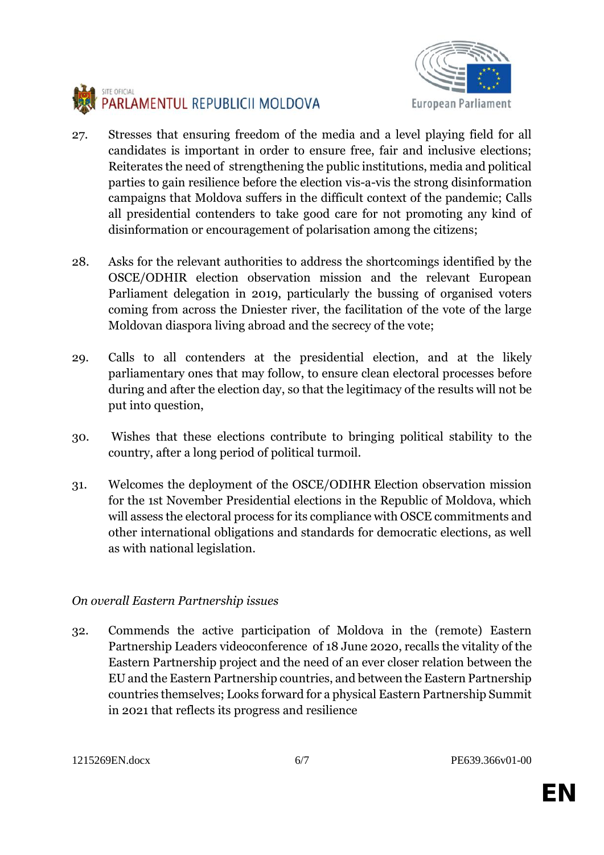



- 27. Stresses that ensuring freedom of the media and a level playing field for all candidates is important in order to ensure free, fair and inclusive elections; Reiterates the need of strengthening the public institutions, media and political parties to gain resilience before the election vis-a-vis the strong disinformation campaigns that Moldova suffers in the difficult context of the pandemic; Calls all presidential contenders to take good care for not promoting any kind of disinformation or encouragement of polarisation among the citizens;
- 28. Asks for the relevant authorities to address the shortcomings identified by the OSCE/ODHIR election observation mission and the relevant European Parliament delegation in 2019, particularly the bussing of organised voters coming from across the Dniester river, the facilitation of the vote of the large Moldovan diaspora living abroad and the secrecy of the vote;
- 29. Calls to all contenders at the presidential election, and at the likely parliamentary ones that may follow, to ensure clean electoral processes before during and after the election day, so that the legitimacy of the results will not be put into question,
- 30. Wishes that these elections contribute to bringing political stability to the country, after a long period of political turmoil.
- 31. Welcomes the deployment of the OSCE/ODIHR Election observation mission for the 1st November Presidential elections in the Republic of Moldova, which will assess the electoral process for its compliance with OSCE commitments and other international obligations and standards for democratic elections, as well as with national legislation.

# *On overall Eastern Partnership issues*

32. Commends the active participation of Moldova in the (remote) Eastern Partnership Leaders videoconference of 18 June 2020, recalls the vitality of the Eastern Partnership project and the need of an ever closer relation between the EU and the Eastern Partnership countries, and between the Eastern Partnership countries themselves; Looks forward for a physical Eastern Partnership Summit in 2021 that reflects its progress and resilience